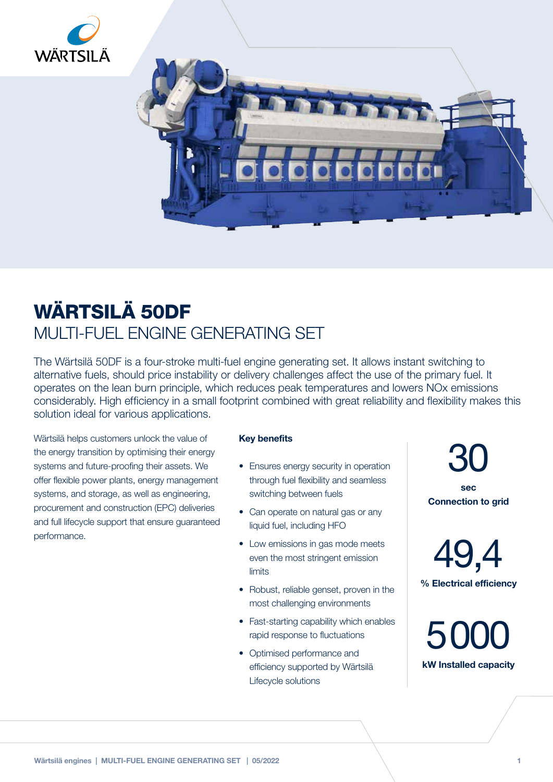



## WÄRTSILÄ 50DF MULTI-FUEL ENGINE GENERATING SET

The Wärtsilä 50DF is a four-stroke multi-fuel engine generating set. It allows instant switching to alternative fuels, should price instability or delivery challenges affect the use of the primary fuel. It operates on the lean burn principle, which reduces peak temperatures and lowers NOx emissions considerably. High efficiency in a small footprint combined with great reliability and flexibility makes this solution ideal for various applications.

Wärtsilä helps customers unlock the value of the energy transition by optimising their energy systems and future-proofing their assets. We offer flexible power plants, energy management systems, and storage, as well as engineering, procurement and construction (EPC) deliveries and full lifecycle support that ensure guaranteed performance.

## Key benefits

- Ensures energy security in operation through fuel flexibility and seamless switching between fuels
- Can operate on natural gas or any liquid fuel, including HFO
- Low emissions in gas mode meets even the most stringent emission limits
- Robust, reliable genset, proven in the most challenging environments
- Fast-starting capability which enables rapid response to fluctuations
- Optimised performance and efficiency supported by Wärtsilä Lifecycle solutions

30 sec

Connection to grid

49,4 % Electrical efficiency

5000 kW Installed capacity